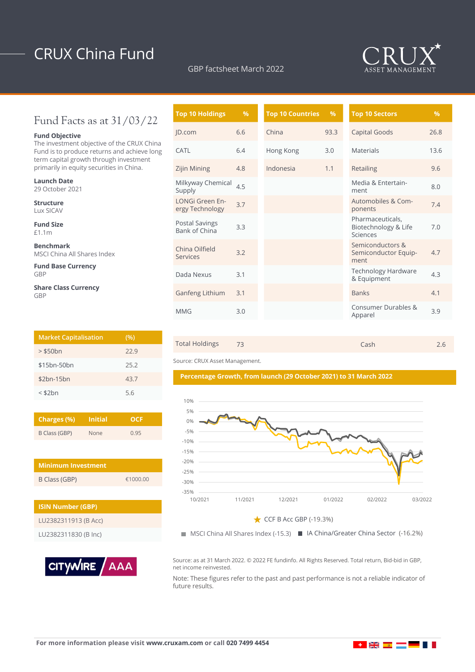# CRUX China Fund

GBP factsheet March 2022



## Fund Facts as at 31/03/22

### **Fund Objective**

The investment objective of the CRUX China Fund is to produce returns and achieve long term capital growth through investment primarily in equity securities in China.

**Launch Date** 29 October 2021

**Structure** Lux SICAV

**Fund Size** £1.1m

**Benchmark** MSCI China All Shares Index

**Fund Base Currency** GBP

**Share Class Currency** GBP

| <b>Market Capitalisation</b> | (%)  |
|------------------------------|------|
| $>$ \$50 $bn$                | 22.9 |
| \$15bn-50bn                  | 25.2 |
| $$2bn-15bn$                  | 43.7 |
| $<$ \$2 $bn$                 | 5.6  |

| Charges (%)   | <b>Initial</b> | OCE  |  |  |
|---------------|----------------|------|--|--|
| B Class (GBP) | <b>None</b>    | 0.95 |  |  |

| <b>Minimum Investment</b> |          |  |  |  |  |
|---------------------------|----------|--|--|--|--|
| B Class (GBP)             | €1000.00 |  |  |  |  |

| <b>ISIN Number (GBP)</b> |  |  |  |
|--------------------------|--|--|--|
| LU2382311913 (B Acc)     |  |  |  |
| LU2382311830 (B Inc)     |  |  |  |



| $\%$ | <b>Top 10 Countries</b> | $\frac{9}{6}$ | <b>Top 10 Sectors</b>                                | $\%$ |
|------|-------------------------|---------------|------------------------------------------------------|------|
| 6.6  | China                   | 93.3          | Capital Goods                                        | 26.8 |
| 6.4  | Hong Kong               | 3.0           | <b>Materials</b>                                     | 13.6 |
| 4.8  | Indonesia               | 1.1           | Retailing                                            | 9.6  |
| 4.5  |                         |               | Media & Entertain-<br>ment                           | 8.0  |
| 3.7  |                         |               | Automobiles & Com-<br>ponents                        | 7.4  |
| 3.3  |                         |               | Pharmaceuticals,<br>Biotechnology & Life<br>Sciences | 7.0  |
| 3.2  |                         |               | Semiconductors &<br>Semiconductor Equip-<br>ment     | 4.7  |
| 3.1  |                         |               | <b>Technology Hardware</b><br>& Equipment            | 4.3  |
| 3.1  |                         |               | <b>Banks</b>                                         | 4.1  |
| 3.0  |                         |               | Consumer Durables &<br>Apparel                       | 3.9  |
|      |                         |               |                                                      |      |



Source: CRUX Asset Management.





MSCI China All Shares Index (-15.3) IA China/Greater China Sector (-16.2%)

Source: as at 31 March 2022. © 2022 FE fundinfo. All Rights Reserved. Total return, Bid-bid in GBP, net income reinvested.

Note: These figures refer to the past and past performance is not a reliable indicator of future results.